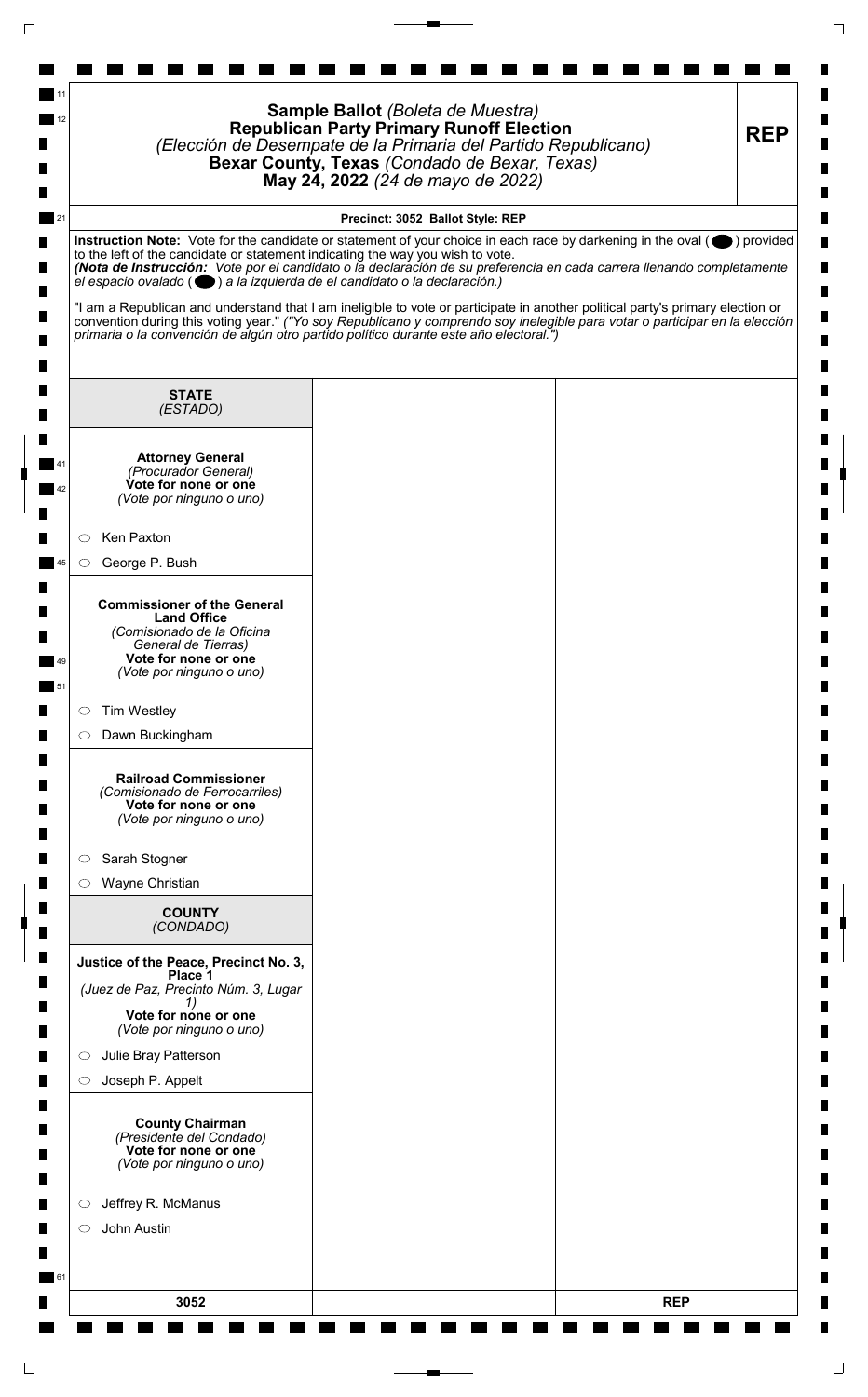|                                                                                                                                                                                                                                                                                                  | Sample Ballot (Boleta de Muestra)<br><b>Republican Party Primary Runoff Election</b><br>(Elección de Desempate de la Primaria del Partido Republicano)<br>Bexar County, Texas (Condado de Bexar, Texas)<br>May 24, 2022 (24 de mayo de 2022) | <b>REP</b> |
|--------------------------------------------------------------------------------------------------------------------------------------------------------------------------------------------------------------------------------------------------------------------------------------------------|----------------------------------------------------------------------------------------------------------------------------------------------------------------------------------------------------------------------------------------------|------------|
|                                                                                                                                                                                                                                                                                                  | Precinct: 3052 Ballot Style: REP                                                                                                                                                                                                             |            |
| Instruction Note: Vote for the candidate or statement of your choice in each race by darkening in the oval (O) provided<br>to the left of the candidate or statement indicating the way you wish to vote.<br>el espacio ovalado ( $\bigcirc$ ) a la izquierda de el candidato o la declaración.) | (Nota de Instrucción: Vote por el candidato o la declaración de su preferencia en cada carrera llenando completamente                                                                                                                        |            |
| convention during this voting year." ("Yo soy Republicano y comprendo soy inelegible para votar o participar en la elección<br>primaria o la convención de algún otro partido político durante este año electoral.")                                                                             | "I am a Republican and understand that I am ineligible to vote or participate in another political party's primary election or                                                                                                               |            |
| <b>STATE</b><br>(ESTADO)                                                                                                                                                                                                                                                                         |                                                                                                                                                                                                                                              |            |
| <b>Attorney General</b><br>(Procurador General)<br>Vote for none or one<br>(Vote por ninguno o uno)                                                                                                                                                                                              |                                                                                                                                                                                                                                              |            |
| Ken Paxton<br>$\circ$                                                                                                                                                                                                                                                                            |                                                                                                                                                                                                                                              |            |
| George P. Bush<br>$\circ$                                                                                                                                                                                                                                                                        |                                                                                                                                                                                                                                              |            |
| <b>Commissioner of the General</b><br><b>Land Office</b><br>(Comisionado de la Oficina<br>General de Tierras)<br>Vote for none or one<br>(Vote por ninguno o uno)                                                                                                                                |                                                                                                                                                                                                                                              |            |
| <b>Tim Westley</b><br>$\circ$                                                                                                                                                                                                                                                                    |                                                                                                                                                                                                                                              |            |
| Dawn Buckingham<br>$\circ$                                                                                                                                                                                                                                                                       |                                                                                                                                                                                                                                              |            |
| <b>Railroad Commissioner</b><br>(Comisionado de Ferrocarriles)<br>Vote for none or one<br>(Vote por ninguno o uno)                                                                                                                                                                               |                                                                                                                                                                                                                                              |            |
| Sarah Stogner<br>$\circ$                                                                                                                                                                                                                                                                         |                                                                                                                                                                                                                                              |            |
| Wayne Christian<br>$\circ$                                                                                                                                                                                                                                                                       |                                                                                                                                                                                                                                              |            |
| <b>COUNTY</b><br>(CONDADO)                                                                                                                                                                                                                                                                       |                                                                                                                                                                                                                                              |            |
| Justice of the Peace, Precinct No. 3,<br>Place 1<br>(Juez de Paz, Precinto Núm. 3, Lugar                                                                                                                                                                                                         |                                                                                                                                                                                                                                              |            |
| Vote for none or one<br>(Vote por ninguno o uno)                                                                                                                                                                                                                                                 |                                                                                                                                                                                                                                              |            |
| Julie Bray Patterson<br>$\circ$                                                                                                                                                                                                                                                                  |                                                                                                                                                                                                                                              |            |
| Joseph P. Appelt<br>$\circ$                                                                                                                                                                                                                                                                      |                                                                                                                                                                                                                                              |            |
| <b>County Chairman</b><br>(Presidente del Condado)<br>Vote for none or one<br>(Vote por ninguno o uno)                                                                                                                                                                                           |                                                                                                                                                                                                                                              |            |
| Jeffrey R. McManus<br>$\circ$                                                                                                                                                                                                                                                                    |                                                                                                                                                                                                                                              |            |
| John Austin<br>$\circ$                                                                                                                                                                                                                                                                           |                                                                                                                                                                                                                                              |            |
|                                                                                                                                                                                                                                                                                                  |                                                                                                                                                                                                                                              |            |

 $\Box$ 

 $\Box$